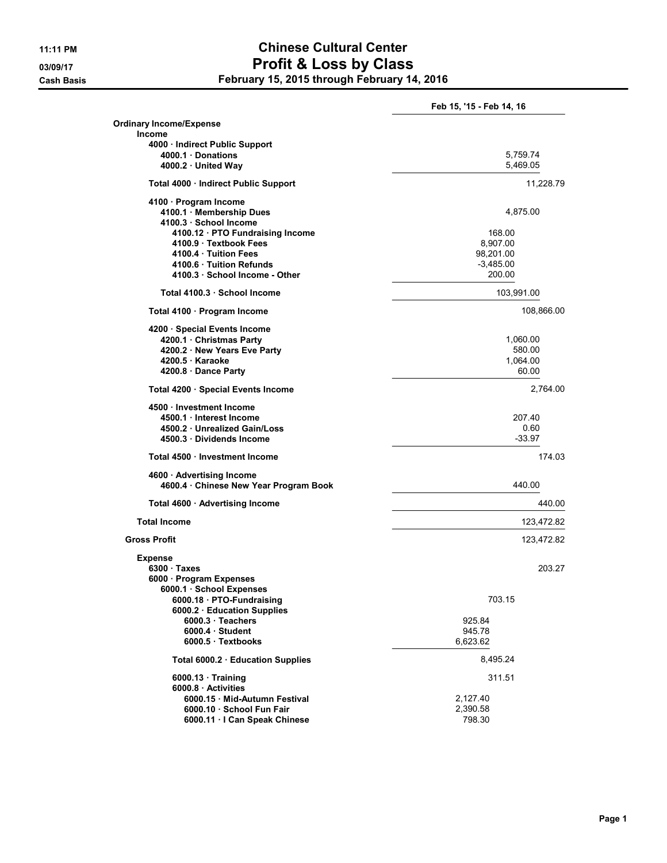## 11:11 PM Chinese Cultural Center 03/09/17 **Profit & Loss by Class** Cash Basis February 15, 2015 through February 14, 2016

|                                                                     | Feb 15, '15 - Feb 14, 16 |  |  |  |
|---------------------------------------------------------------------|--------------------------|--|--|--|
| <b>Ordinary Income/Expense</b>                                      |                          |  |  |  |
| <b>Income</b>                                                       |                          |  |  |  |
| 4000 · Indirect Public Support<br>4000.1 Donations                  | 5,759.74                 |  |  |  |
| 4000.2 United Way                                                   | 5,469.05                 |  |  |  |
| Total 4000 · Indirect Public Support                                | 11,228.79                |  |  |  |
| 4100 · Program Income                                               |                          |  |  |  |
| 4100.1 Membership Dues                                              | 4,875.00                 |  |  |  |
| 4100.3 School Income<br>4100.12 PTO Fundraising Income              | 168.00                   |  |  |  |
| 4100.9 Textbook Fees                                                | 8,907.00                 |  |  |  |
| 4100.4 Tuition Fees                                                 | 98,201.00                |  |  |  |
| 4100.6 Tuition Refunds                                              | $-3,485.00$              |  |  |  |
| 4100.3 School Income - Other                                        | 200.00                   |  |  |  |
| Total 4100.3 School Income                                          | 103,991.00               |  |  |  |
| Total 4100 · Program Income                                         | 108,866.00               |  |  |  |
| 4200 · Special Events Income                                        |                          |  |  |  |
| 4200.1 · Christmas Party                                            | 1,060.00                 |  |  |  |
| 4200.2 New Years Eve Party                                          | 580.00                   |  |  |  |
| 4200.5 Karaoke                                                      | 1,064.00<br>60.00        |  |  |  |
| 4200.8 Dance Party                                                  |                          |  |  |  |
| Total 4200 · Special Events Income                                  | 2,764.00                 |  |  |  |
| 4500 · Investment Income                                            |                          |  |  |  |
| 4500.1 Interest Income<br>4500.2 Unrealized Gain/Loss               | 207.40<br>0.60           |  |  |  |
| 4500.3 Dividends Income                                             | $-33.97$                 |  |  |  |
| Total 4500 · Investment Income                                      | 174.03                   |  |  |  |
|                                                                     |                          |  |  |  |
| 4600 · Advertising Income<br>4600.4 · Chinese New Year Program Book | 440.00                   |  |  |  |
| Total 4600 · Advertising Income                                     | 440.00                   |  |  |  |
| <b>Total Income</b>                                                 | 123,472.82               |  |  |  |
| <b>Gross Profit</b>                                                 | 123,472.82               |  |  |  |
| <b>Expense</b>                                                      |                          |  |  |  |
| 6300 Taxes                                                          | 203.27                   |  |  |  |
| 6000 · Program Expenses                                             |                          |  |  |  |
| 6000.1 · School Expenses                                            |                          |  |  |  |
| 6000.18 · PTO-Fundraising                                           | 703.15                   |  |  |  |
| 6000.2 · Education Supplies                                         |                          |  |  |  |
| 6000.3 · Teachers                                                   | 925.84                   |  |  |  |
| $6000.4 \cdot$ Student                                              | 945.78                   |  |  |  |
| 6000.5 Textbooks                                                    | 6,623.62                 |  |  |  |
| Total 6000.2 Education Supplies                                     | 8,495.24                 |  |  |  |
| $6000.13 \cdot$ Training                                            | 311.51                   |  |  |  |
| 6000.8 Activities                                                   |                          |  |  |  |
| 6000.15 Mid-Autumn Festival                                         | 2,127.40                 |  |  |  |
| 6000.10 · School Fun Fair                                           | 2,390.58                 |  |  |  |
| 6000.11 · I Can Speak Chinese                                       | 798.30                   |  |  |  |